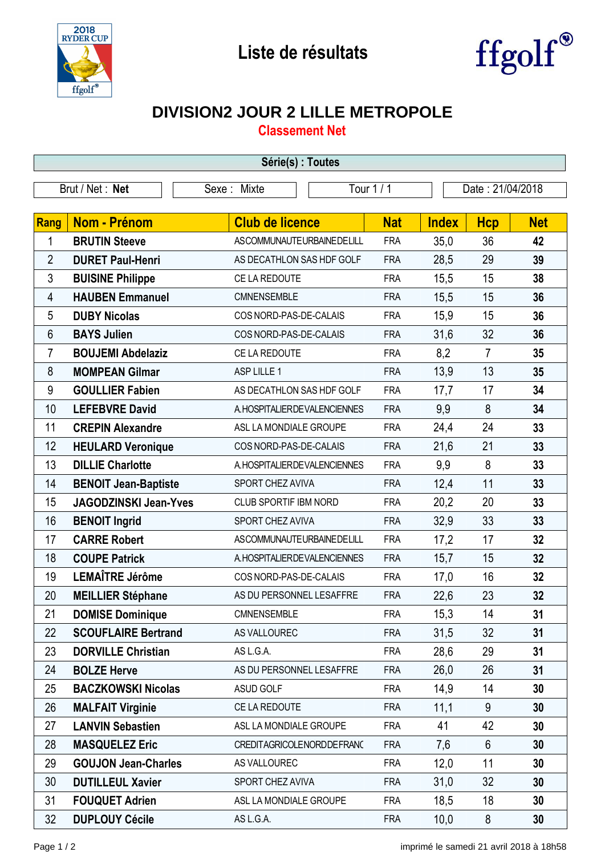



## **DIVISION2 JOUR 2 LILLE METROPOLE**

**Classement Net**

| Série(s) : Toutes |                              |                                |            |              |                  |            |  |  |  |
|-------------------|------------------------------|--------------------------------|------------|--------------|------------------|------------|--|--|--|
| Brut / Net: Net   |                              | Sexe: Mixte                    | Tour 1/1   |              | Date: 21/04/2018 |            |  |  |  |
|                   |                              |                                |            |              |                  |            |  |  |  |
| <b>Rang</b>       | <b>Nom - Prénom</b>          | <b>Club de licence</b>         | <b>Nat</b> | <b>Index</b> | <b>Hcp</b>       | <b>Net</b> |  |  |  |
| 1                 | <b>BRUTIN Steeve</b>         | ASCOMMUNAUTEURBAINEDELILL      | <b>FRA</b> | 35,0         | 36               | 42         |  |  |  |
| $\overline{2}$    | <b>DURET Paul-Henri</b>      | AS DECATHLON SAS HDF GOLF      | <b>FRA</b> | 28,5         | 29               | 39         |  |  |  |
| 3                 | <b>BUISINE Philippe</b>      | CE LA REDOUTE                  | <b>FRA</b> | 15,5         | 15               | 38         |  |  |  |
| 4                 | <b>HAUBEN Emmanuel</b>       | CMNENSEMBLE                    | <b>FRA</b> | 15,5         | 15               | 36         |  |  |  |
| 5                 | <b>DUBY Nicolas</b>          | COS NORD-PAS-DE-CALAIS         | <b>FRA</b> | 15,9         | 15               | 36         |  |  |  |
| 6                 | <b>BAYS Julien</b>           | COS NORD-PAS-DE-CALAIS         | <b>FRA</b> | 31,6         | 32               | 36         |  |  |  |
| $\overline{7}$    | <b>BOUJEMI Abdelaziz</b>     | CE LA REDOUTE                  | <b>FRA</b> | 8,2          | 7                | 35         |  |  |  |
| 8                 | <b>MOMPEAN Gilmar</b>        | ASP LILLE 1                    | <b>FRA</b> | 13,9         | 13               | 35         |  |  |  |
| 9                 | <b>GOULLIER Fabien</b>       | AS DECATHLON SAS HDF GOLF      | <b>FRA</b> | 17,7         | 17               | 34         |  |  |  |
| 10                | <b>LEFEBVRE David</b>        | A. HOSPITALIER DE VALENCIENNES | <b>FRA</b> | 9,9          | 8                | 34         |  |  |  |
| 11                | <b>CREPIN Alexandre</b>      | ASL LA MONDIALE GROUPE         | <b>FRA</b> | 24,4         | 24               | 33         |  |  |  |
| 12                | <b>HEULARD Veronique</b>     | COS NORD-PAS-DE-CALAIS         | <b>FRA</b> | 21,6         | 21               | 33         |  |  |  |
| 13                | <b>DILLIE Charlotte</b>      | A. HOSPITALIER DE VALENCIENNES | <b>FRA</b> | 9,9          | 8                | 33         |  |  |  |
| 14                | <b>BENOIT Jean-Baptiste</b>  | SPORT CHEZ AVIVA               | <b>FRA</b> | 12,4         | 11               | 33         |  |  |  |
| 15                | <b>JAGODZINSKI Jean-Yves</b> | CLUB SPORTIF IBM NORD          | <b>FRA</b> | 20,2         | 20               | 33         |  |  |  |
| 16                | <b>BENOIT Ingrid</b>         | SPORT CHEZ AVIVA               | <b>FRA</b> | 32,9         | 33               | 33         |  |  |  |
| 17                | <b>CARRE Robert</b>          | ASCOMMUNAUTEURBAINEDELILL      | <b>FRA</b> | 17,2         | 17               | 32         |  |  |  |
| 18                | <b>COUPE Patrick</b>         | A. HOSPITALIER DE VALENCIENNES | <b>FRA</b> | 15,7         | 15               | 32         |  |  |  |
| 19                | LEMAÎTRE Jérôme              | COS NORD-PAS-DE-CALAIS         | <b>FRA</b> | 17,0         | 16               | 32         |  |  |  |
| 20                | <b>MEILLIER Stéphane</b>     | AS DU PERSONNEL LESAFFRE       | <b>FRA</b> | 22,6         | 23               | 32         |  |  |  |
| 21                | <b>DOMISE Dominique</b>      | <b>CMNENSEMBLE</b>             | <b>FRA</b> | 15,3         | 14               | 31         |  |  |  |
| 22                | <b>SCOUFLAIRE Bertrand</b>   | AS VALLOUREC                   | <b>FRA</b> | 31,5         | 32               | 31         |  |  |  |
| 23                | <b>DORVILLE Christian</b>    | AS L.G.A.                      | <b>FRA</b> | 28,6         | 29               | 31         |  |  |  |
| 24                | <b>BOLZE Herve</b>           | AS DU PERSONNEL LESAFFRE       | <b>FRA</b> | 26,0         | 26               | 31         |  |  |  |
| 25                | <b>BACZKOWSKI Nicolas</b>    | ASUD GOLF                      | <b>FRA</b> | 14,9         | 14               | 30         |  |  |  |
| 26                | <b>MALFAIT Virginie</b>      | CE LA REDOUTE                  | <b>FRA</b> | 11,1         | 9                | 30         |  |  |  |
| 27                | <b>LANVIN Sebastien</b>      | ASL LA MONDIALE GROUPE         | <b>FRA</b> | 41           | 42               | 30         |  |  |  |
| 28                | <b>MASQUELEZ Eric</b>        | CREDITAGRICOLENORDDEFRANC      | <b>FRA</b> | 7,6          | $6\phantom{1}$   | 30         |  |  |  |
| 29                | <b>GOUJON Jean-Charles</b>   | AS VALLOUREC                   | <b>FRA</b> | 12,0         | 11               | 30         |  |  |  |
| 30                | <b>DUTILLEUL Xavier</b>      | SPORT CHEZ AVIVA               | <b>FRA</b> | 31,0         | 32               | 30         |  |  |  |
| 31                | <b>FOUQUET Adrien</b>        | ASL LA MONDIALE GROUPE         | <b>FRA</b> | 18,5         | 18               | 30         |  |  |  |
| 32                | <b>DUPLOUY Cécile</b>        | AS L.G.A.                      | <b>FRA</b> | 10,0         | 8                | 30         |  |  |  |